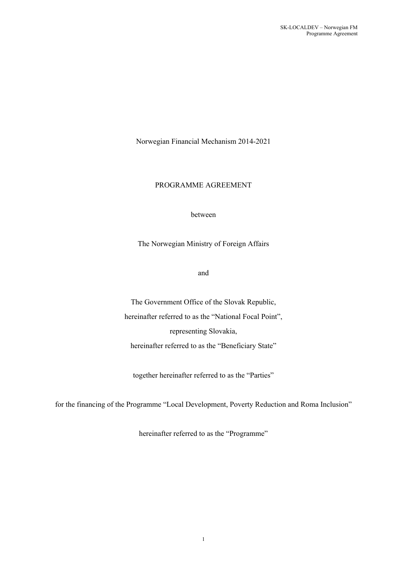Norwegian Financial Mechanism 2014-2021

## PROGRAMME AGREEMENT

#### between

The Norwegian Ministry of Foreign Affairs

and

The Government Office of the Slovak Republic, hereinafter referred to as the "National Focal Point", representing Slovakia, hereinafter referred to as the "Beneficiary State"

together hereinafter referred to as the "Parties"

for the financing of the Programme "Local Development, Poverty Reduction and Roma Inclusion"

hereinafter referred to as the "Programme"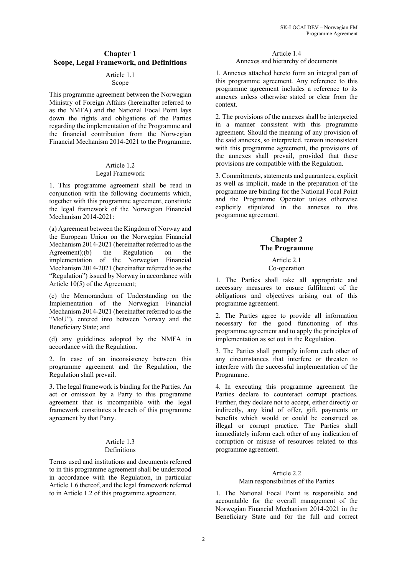## **Chapter 1 Scope, Legal Framework, and Definitions**

## Article 1.1

Scope This programme agreement between the Norwegian

Ministry of Foreign Affairs (hereinafter referred to as the NMFA) and the National Focal Point lays down the rights and obligations of the Parties regarding the implementation of the Programme and the financial contribution from the Norwegian Financial Mechanism 2014-2021 to the Programme.

#### Article 1.2 Legal Framework

1. This programme agreement shall be read in conjunction with the following documents which, together with this programme agreement, constitute the legal framework of the Norwegian Financial Mechanism 2014-2021:

(a) Agreement between the Kingdom of Norway and the European Union on the Norwegian Financial Mechanism 2014-2021 (hereinafter referred to as the Agreement);(b) the Regulation on the implementation of the Norwegian Financial Mechanism 2014-2021 (hereinafter referred to as the "Regulation") issued by Norway in accordance with Article 10(5) of the Agreement;

(c) the Memorandum of Understanding on the Implementation of the Norwegian Financial Mechanism 2014-2021 (hereinafter referred to as the "MoU"), entered into between Norway and the Beneficiary State; and

(d) any guidelines adopted by the NMFA in accordance with the Regulation.

2. In case of an inconsistency between this programme agreement and the Regulation, the Regulation shall prevail.

3. The legal framework is binding for the Parties. An act or omission by a Party to this programme agreement that is incompatible with the legal framework constitutes a breach of this programme agreement by that Party.

#### Article 1.3 Definitions

Terms used and institutions and documents referred to in this programme agreement shall be understood in accordance with the Regulation, in particular Article 1.6 thereof, and the legal framework referred to in Article 1.2 of this programme agreement.

#### Article 1.4 Annexes and hierarchy of documents

1. Annexes attached hereto form an integral part of this programme agreement. Any reference to this programme agreement includes a reference to its annexes unless otherwise stated or clear from the context.

2. The provisions of the annexes shall be interpreted in a manner consistent with this programme agreement. Should the meaning of any provision of the said annexes, so interpreted, remain inconsistent with this programme agreement, the provisions of the annexes shall prevail, provided that these provisions are compatible with the Regulation.

3. Commitments, statements and guarantees, explicit as well as implicit, made in the preparation of the programme are binding for the National Focal Point and the Programme Operator unless otherwise explicitly stipulated in the annexes to this programme agreement.

## **Chapter 2 The Programme**

#### Article 2.1 Co-operation

1. The Parties shall take all appropriate and necessary measures to ensure fulfilment of the obligations and objectives arising out of this programme agreement.

2. The Parties agree to provide all information necessary for the good functioning of this programme agreement and to apply the principles of implementation as set out in the Regulation.

3. The Parties shall promptly inform each other of any circumstances that interfere or threaten to interfere with the successful implementation of the Programme.

4. In executing this programme agreement the Parties declare to counteract corrupt practices. Further, they declare not to accept, either directly or indirectly, any kind of offer, gift, payments or benefits which would or could be construed as illegal or corrupt practice. The Parties shall immediately inform each other of any indication of corruption or misuse of resources related to this programme agreement.

## Article 2.2

## Main responsibilities of the Parties

1. The National Focal Point is responsible and accountable for the overall management of the Norwegian Financial Mechanism 2014-2021 in the Beneficiary State and for the full and correct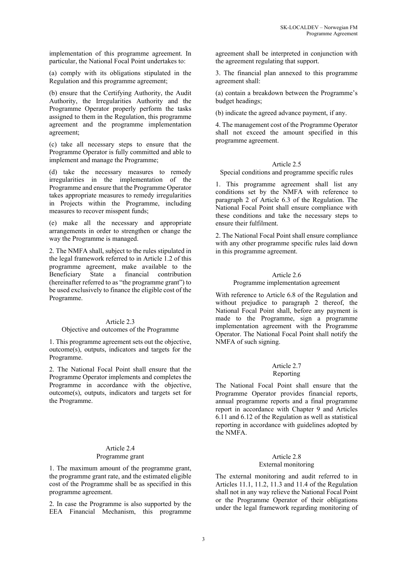implementation of this programme agreement. In particular, the National Focal Point undertakes to:

(a) comply with its obligations stipulated in the Regulation and this programme agreement;

(b) ensure that the Certifying Authority, the Audit Authority, the Irregularities Authority and the Programme Operator properly perform the tasks assigned to them in the Regulation, this programme agreement and the programme implementation agreement;

(c) take all necessary steps to ensure that the Programme Operator is fully committed and able to implement and manage the Programme;

(d) take the necessary measures to remedy irregularities in the implementation of the Programme and ensure that the Programme Operator takes appropriate measures to remedy irregularities in Projects within the Programme, including measures to recover misspent funds;

(e) make all the necessary and appropriate arrangements in order to strengthen or change the way the Programme is managed.

2. The NMFA shall, subject to the rules stipulated in the legal framework referred to in Article 1.2 of this programme agreement, make available to the Beneficiary State a financial contribution (hereinafter referred to as "the programme grant") to be used exclusively to finance the eligible cost of the Programme.

#### Article 2.3

#### Objective and outcomes of the Programme

1. This programme agreement sets out the objective, outcome(s), outputs, indicators and targets for the Programme.

2. The National Focal Point shall ensure that the Programme Operator implements and completes the Programme in accordance with the objective, outcome(s), outputs, indicators and targets set for the Programme.

## Article 2.4 Programme grant

1. The maximum amount of the programme grant, the programme grant rate, and the estimated eligible cost of the Programme shall be as specified in this programme agreement.

2. In case the Programme is also supported by the EEA Financial Mechanism, this programme agreement shall be interpreted in conjunction with the agreement regulating that support.

3. The financial plan annexed to this programme agreement shall:

(a) contain a breakdown between the Programme's budget headings;

(b) indicate the agreed advance payment, if any.

4. The management cost of the Programme Operator shall not exceed the amount specified in this programme agreement.

#### Article 2.5

Special conditions and programme specific rules

1. This programme agreement shall list any conditions set by the NMFA with reference to paragraph 2 of Article 6.3 of the Regulation. The National Focal Point shall ensure compliance with these conditions and take the necessary steps to ensure their fulfilment.

2. The National Focal Point shall ensure compliance with any other programme specific rules laid down in this programme agreement.

#### Article 2.6

#### Programme implementation agreement

With reference to Article 6.8 of the Regulation and without prejudice to paragraph 2 thereof, the National Focal Point shall, before any payment is made to the Programme, sign a programme implementation agreement with the Programme Operator. The National Focal Point shall notify the NMFA of such signing.

#### Article 2.7 Reporting

The National Focal Point shall ensure that the Programme Operator provides financial reports, annual programme reports and a final programme report in accordance with Chapter 9 and Articles 6.11 and 6.12 of the Regulation as well as statistical reporting in accordance with guidelines adopted by the NMFA.

#### Article 2.8 External monitoring

The external monitoring and audit referred to in Articles 11.1, 11.2, 11.3 and 11.4 of the Regulation shall not in any way relieve the National Focal Point or the Programme Operator of their obligations under the legal framework regarding monitoring of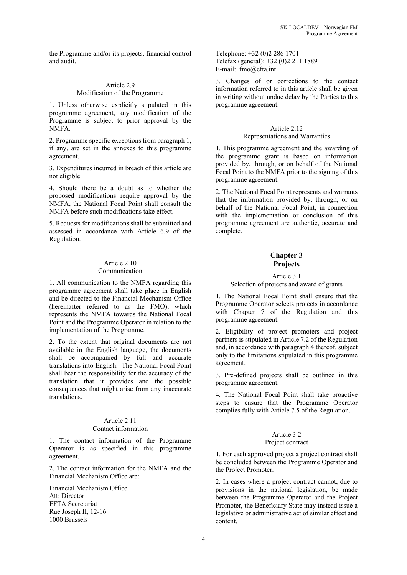the Programme and/or its projects, financial control and audit.

#### Article 2.9 Modification of the Programme

1. Unless otherwise explicitly stipulated in this programme agreement, any modification of the Programme is subject to prior approval by the NMFA.

2. Programme specific exceptions from paragraph 1, if any, are set in the annexes to this programme agreement.

3. Expenditures incurred in breach of this article are not eligible.

4. Should there be a doubt as to whether the proposed modifications require approval by the NMFA, the National Focal Point shall consult the NMFA before such modifications take effect.

5. Requests for modifications shall be submitted and assessed in accordance with Article 6.9 of the Regulation.

#### Article 2.10 Communication

1. All communication to the NMFA regarding this programme agreement shall take place in English and be directed to the Financial Mechanism Office (hereinafter referred to as the FMO), which represents the NMFA towards the National Focal Point and the Programme Operator in relation to the implementation of the Programme.

2. To the extent that original documents are not available in the English language, the documents shall be accompanied by full and accurate translations into English. The National Focal Point shall bear the responsibility for the accuracy of the translation that it provides and the possible consequences that might arise from any inaccurate translations.

# Article 2.11

## Contact information

1. The contact information of the Programme Operator is as specified in this programme agreement.

2. The contact information for the NMFA and the Financial Mechanism Office are:

Financial Mechanism Office Att: Director EFTA Secretariat Rue Joseph II, 12-16 1000 Brussels

Telephone: +32 (0)2 286 1701 Telefax (general): +32 (0)2 211 1889 E-mail: fmo@efta.int

3. Changes of or corrections to the contact information referred to in this article shall be given in writing without undue delay by the Parties to this programme agreement.

#### Article 2.12 Representations and Warranties

1. This programme agreement and the awarding of the programme grant is based on information provided by, through, or on behalf of the National Focal Point to the NMFA prior to the signing of this programme agreement.

2. The National Focal Point represents and warrants that the information provided by, through, or on behalf of the National Focal Point, in connection with the implementation or conclusion of this programme agreement are authentic, accurate and complete.

## **Chapter 3 Projects**

## Article 3.1

# Selection of projects and award of grants

1. The National Focal Point shall ensure that the Programme Operator selects projects in accordance with Chapter 7 of the Regulation and this programme agreement.

2. Eligibility of project promoters and project partners is stipulated in Article 7.2 of the Regulation and, in accordance with paragraph 4 thereof, subject only to the limitations stipulated in this programme agreement.

3. Pre-defined projects shall be outlined in this programme agreement.

4. The National Focal Point shall take proactive steps to ensure that the Programme Operator complies fully with Article 7.5 of the Regulation.

## Article 3.2

#### Project contract

1. For each approved project a project contract shall be concluded between the Programme Operator and the Project Promoter.

2. In cases where a project contract cannot, due to provisions in the national legislation, be made between the Programme Operator and the Project Promoter, the Beneficiary State may instead issue a legislative or administrative act of similar effect and content.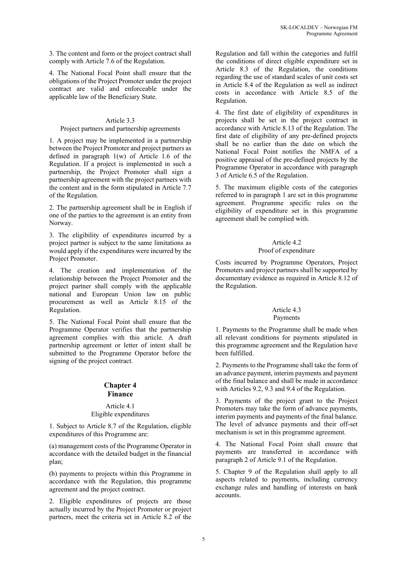3. The content and form or the project contract shall comply with Article 7.6 of the Regulation.

4. The National Focal Point shall ensure that the obligations of the Project Promoter under the project contract are valid and enforceable under the applicable law of the Beneficiary State.

#### Article 3.3 Project partners and partnership agreements

1. A project may be implemented in a partnership between the Project Promoter and project partners as defined in paragraph 1(w) of Article 1.6 of the Regulation. If a project is implemented in such a partnership, the Project Promoter shall sign a partnership agreement with the project partners with the content and in the form stipulated in Article 7.7 of the Regulation.

2. The partnership agreement shall be in English if one of the parties to the agreement is an entity from Norway.

3. The eligibility of expenditures incurred by a project partner is subject to the same limitations as would apply if the expenditures were incurred by the Project Promoter.

4. The creation and implementation of the relationship between the Project Promoter and the project partner shall comply with the applicable national and European Union law on public procurement as well as Article 8.15 of the Regulation.

5. The National Focal Point shall ensure that the Programme Operator verifies that the partnership agreement complies with this article. A draft partnership agreement or letter of intent shall be submitted to the Programme Operator before the signing of the project contract.

#### **Chapter 4 Finance**

#### Article 4.1 Eligible expenditures

1. Subject to Article 8.7 of the Regulation, eligible expenditures of this Programme are:

(a) management costs of the Programme Operator in accordance with the detailed budget in the financial plan;

(b) payments to projects within this Programme in accordance with the Regulation, this programme agreement and the project contract.

2. Eligible expenditures of projects are those actually incurred by the Project Promoter or project partners, meet the criteria set in Article 8.2 of the Regulation and fall within the categories and fulfil the conditions of direct eligible expenditure set in Article 8.3 of the Regulation, the conditions regarding the use of standard scales of unit costs set in Article 8.4 of the Regulation as well as indirect costs in accordance with Article 8.5 of the Regulation.

4. The first date of eligibility of expenditures in projects shall be set in the project contract in accordance with Article 8.13 of the Regulation. The first date of eligibility of any pre-defined projects shall be no earlier than the date on which the National Focal Point notifies the NMFA of a positive appraisal of the pre-defined projects by the Programme Operator in accordance with paragraph 3 of Article 6.5 of the Regulation.

5. The maximum eligible costs of the categories referred to in paragraph 1 are set in this programme agreement. Programme specific rules on the eligibility of expenditure set in this programme agreement shall be complied with.

## Article 4.2

### Proof of expenditure

Costs incurred by Programme Operators, Project Promoters and project partners shall be supported by documentary evidence as required in Article 8.12 of the Regulation.

#### Article 4.3 Payments

1. Payments to the Programme shall be made when all relevant conditions for payments stipulated in this programme agreement and the Regulation have been fulfilled.

2. Payments to the Programme shall take the form of an advance payment, interim payments and payment of the final balance and shall be made in accordance with Articles 9.2, 9.3 and 9.4 of the Regulation.

3. Payments of the project grant to the Project Promoters may take the form of advance payments, interim payments and payments of the final balance. The level of advance payments and their off-set mechanism is set in this programme agreement.

4. The National Focal Point shall ensure that payments are transferred in accordance with paragraph 2 of Article 9.1 of the Regulation.

5. Chapter 9 of the Regulation shall apply to all aspects related to payments, including currency exchange rules and handling of interests on bank accounts.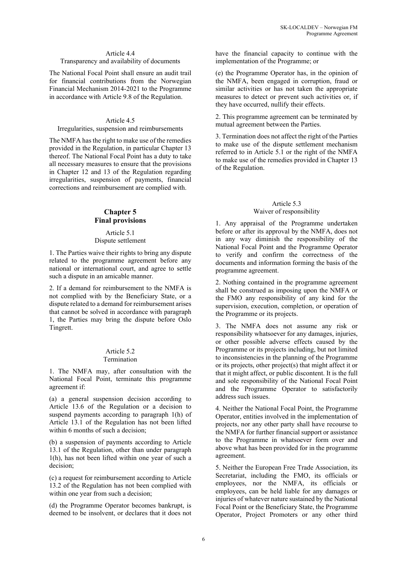#### Article 4.4

#### Transparency and availability of documents

The National Focal Point shall ensure an audit trail for financial contributions from the Norwegian Financial Mechanism 2014-2021 to the Programme in accordance with Article 9.8 of the Regulation.

#### Article 4.5

#### Irregularities, suspension and reimbursements

The NMFA has the right to make use of the remedies provided in the Regulation, in particular Chapter 13 thereof. The National Focal Point has a duty to take all necessary measures to ensure that the provisions in Chapter 12 and 13 of the Regulation regarding irregularities, suspension of payments, financial corrections and reimbursement are complied with.

## **Chapter 5 Final provisions**

#### Article 5.1 Dispute settlement

1. The Parties waive their rights to bring any dispute related to the programme agreement before any national or international court, and agree to settle such a dispute in an amicable manner.

2. If a demand for reimbursement to the NMFA is not complied with by the Beneficiary State, or a dispute related to a demand for reimbursement arises that cannot be solved in accordance with paragraph 1, the Parties may bring the dispute before Oslo Tingrett.

#### Article 5.2 Termination

1. The NMFA may, after consultation with the National Focal Point, terminate this programme agreement if:

(a) a general suspension decision according to Article 13.6 of the Regulation or a decision to suspend payments according to paragraph 1(h) of Article 13.1 of the Regulation has not been lifted within 6 months of such a decision:

(b) a suspension of payments according to Article 13.1 of the Regulation, other than under paragraph 1(h), has not been lifted within one year of such a decision;

(c) a request for reimbursement according to Article 13.2 of the Regulation has not been complied with within one year from such a decision;

(d) the Programme Operator becomes bankrupt, is deemed to be insolvent, or declares that it does not have the financial capacity to continue with the implementation of the Programme; or

(e) the Programme Operator has, in the opinion of the NMFA, been engaged in corruption, fraud or similar activities or has not taken the appropriate measures to detect or prevent such activities or, if they have occurred, nullify their effects.

2. This programme agreement can be terminated by mutual agreement between the Parties.

3. Termination does not affect the right of the Parties to make use of the dispute settlement mechanism referred to in Article 5.1 or the right of the NMFA to make use of the remedies provided in Chapter 13 of the Regulation.

## Article 5.3 Waiver of responsibility

1. Any appraisal of the Programme undertaken before or after its approval by the NMFA, does not in any way diminish the responsibility of the National Focal Point and the Programme Operator to verify and confirm the correctness of the documents and information forming the basis of the programme agreement.

2. Nothing contained in the programme agreement shall be construed as imposing upon the NMFA or the FMO any responsibility of any kind for the supervision, execution, completion, or operation of the Programme or its projects.

3. The NMFA does not assume any risk or responsibility whatsoever for any damages, injuries, or other possible adverse effects caused by the Programme or its projects including, but not limited to inconsistencies in the planning of the Programme or its projects, other project(s) that might affect it or that it might affect, or public discontent. It is the full and sole responsibility of the National Focal Point and the Programme Operator to satisfactorily address such issues.

4. Neither the National Focal Point, the Programme Operator, entities involved in the implementation of projects, nor any other party shall have recourse to the NMFA for further financial support or assistance to the Programme in whatsoever form over and above what has been provided for in the programme agreement.

5. Neither the European Free Trade Association, its Secretariat, including the FMO, its officials or employees, nor the NMFA, its officials or employees, can be held liable for any damages or injuries of whatever nature sustained by the National Focal Point or the Beneficiary State, the Programme Operator, Project Promoters or any other third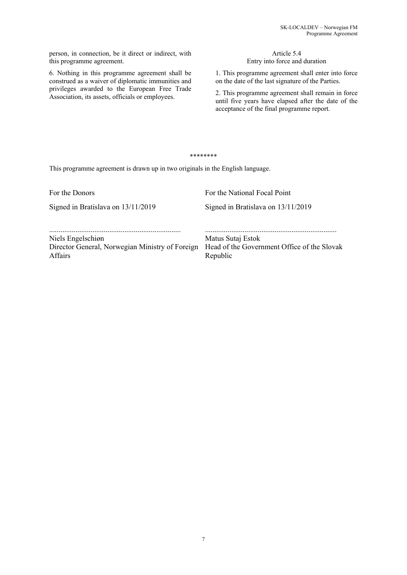person, in connection, be it direct or indirect, with this programme agreement.

6. Nothing in this programme agreement shall be construed as a waiver of diplomatic immunities and privileges awarded to the European Free Trade Association, its assets, officials or employees.

#### Article 5.4 Entry into force and duration

1. This programme agreement shall enter into force on the date of the last signature of the Parties.

2. This programme agreement shall remain in force until five years have elapsed after the date of the acceptance of the final programme report.

#### \*\*\*\*\*\*\*\*

This programme agreement is drawn up in two originals in the English language.

| For the Donors                                                       | For the National Focal Point                                     |
|----------------------------------------------------------------------|------------------------------------------------------------------|
| Signed in Bratislava on 13/11/2019                                   | Signed in Bratislava on 13/11/2019                               |
|                                                                      |                                                                  |
| Niels Engelschiøn<br>Director General, Norwegian Ministry of Foreign | Matus Sutaj Estok<br>Head of the Government Office of the Slovak |
| Affairs                                                              | Republic                                                         |
|                                                                      |                                                                  |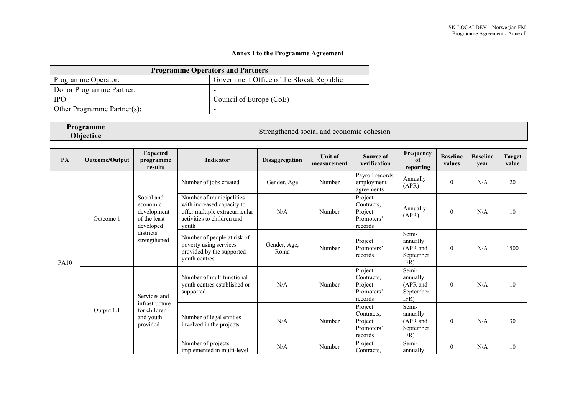## **Annex I to the Programme Agreement**

| <b>Programme Operators and Partners</b> |                                          |  |  |  |  |  |  |
|-----------------------------------------|------------------------------------------|--|--|--|--|--|--|
| Programme Operator:                     | Government Office of the Slovak Republic |  |  |  |  |  |  |
| Donor Programme Partner:                |                                          |  |  |  |  |  |  |
| IPO:                                    | Council of Europe (CoE)                  |  |  |  |  |  |  |
| Other Programme Partner(s):             |                                          |  |  |  |  |  |  |

| l economic cohesion<br>$\gamma$ trengthene $\alpha$ .<br>social<br>and |
|------------------------------------------------------------------------|
|------------------------------------------------------------------------|

| PA          | Outcome/Output | <b>Expected</b><br>programme<br>results                                                         | <b>Indicator</b>                                                                                                                | <b>Disaggregation</b> | Unit of<br>measurement | Source of<br>verification                                 | Frequency<br>of<br>reporting                       | <b>Baseline</b><br>values | <b>Baseline</b><br>year | Target<br>value |
|-------------|----------------|-------------------------------------------------------------------------------------------------|---------------------------------------------------------------------------------------------------------------------------------|-----------------------|------------------------|-----------------------------------------------------------|----------------------------------------------------|---------------------------|-------------------------|-----------------|
| <b>PA10</b> | Outcome 1      |                                                                                                 | Number of jobs created                                                                                                          | Gender, Age           | Number                 | Payroll records,<br>employment<br>agreements              | Annually<br>(APR)                                  | $\Omega$                  | N/A                     | 20              |
|             |                | Social and<br>economic<br>development<br>of the least<br>developed<br>districts<br>strengthened | Number of municipalities<br>with increased capacity to<br>offer multiple extracurricular<br>activities to children and<br>youth | N/A                   | Number                 | Project<br>Contracts,<br>Project<br>Promoters'<br>records | Annually<br>(APR)                                  | $\theta$                  | N/A                     | 10              |
|             |                |                                                                                                 | Number of people at risk of<br>poverty using services<br>provided by the supported<br>youth centres                             | Gender, Age,<br>Roma  | Number                 | Project<br>Promoters'<br>records                          | Semi-<br>annually<br>(APR and<br>September<br>IFR) | $\theta$                  | N/A                     | 1500            |
|             | Output 1.1     | Services and<br>infrastructure<br>for children<br>and youth<br>provided                         | Number of multifunctional<br>youth centres established or<br>supported                                                          | N/A                   | Number                 | Project<br>Contracts,<br>Project<br>Promoters'<br>records | Semi-<br>annually<br>(APR and<br>September<br>IFR) | $\Omega$                  | N/A                     | 10              |
|             |                |                                                                                                 | Number of legal entities<br>involved in the projects                                                                            | N/A                   | Number                 | Project<br>Contracts,<br>Project<br>Promoters'<br>records | Semi-<br>annually<br>(APR and<br>September<br>IFR) | $\theta$                  | N/A                     | 30              |
|             |                |                                                                                                 | Number of projects<br>implemented in multi-level                                                                                | N/A                   | Number                 | Project<br>Contracts,                                     | Semi-<br>annually                                  | $\mathbf{0}$              | N/A                     | 10              |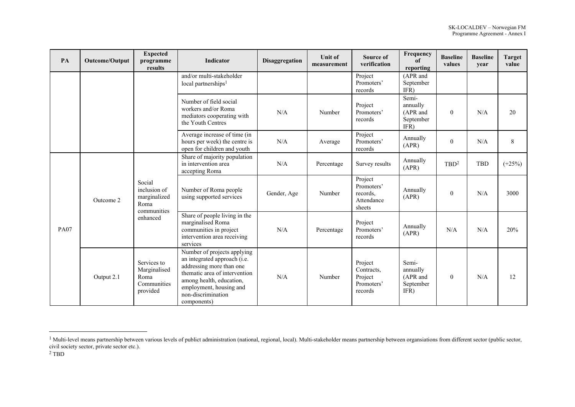| PA          | <b>Outcome/Output</b> | <b>Expected</b><br>programme<br>results                                   | <b>Indicator</b>                                                                                                                                                                                                     | Disaggregation | <b>Unit of</b><br>measurement | Source of<br>verification                                 | Frequency<br>of<br>reporting                       | <b>Baseline</b><br>values | <b>Baseline</b><br>year | Target<br>value |
|-------------|-----------------------|---------------------------------------------------------------------------|----------------------------------------------------------------------------------------------------------------------------------------------------------------------------------------------------------------------|----------------|-------------------------------|-----------------------------------------------------------|----------------------------------------------------|---------------------------|-------------------------|-----------------|
|             |                       |                                                                           | and/or multi-stakeholder<br>local partnerships <sup>1</sup>                                                                                                                                                          |                |                               | Project<br>Promoters'<br>records                          | (APR and<br>September<br>IFR)                      |                           |                         |                 |
|             |                       |                                                                           | Number of field social<br>workers and/or Roma<br>mediators cooperating with<br>the Youth Centres                                                                                                                     | N/A            | Number                        | Project<br>Promoters'<br>records                          | Semi-<br>annually<br>(APR and<br>September<br>IFR) | $\theta$                  | N/A                     | 20              |
|             |                       |                                                                           | Average increase of time (in<br>hours per week) the centre is<br>open for children and youth                                                                                                                         | N/A            | Average                       | Project<br>Promoters'<br>records                          | Annually<br>(APR)                                  | $\theta$                  | N/A                     | 8               |
| <b>PA07</b> | Outcome 2             | Social<br>inclusion of<br>marginalized<br>Roma<br>communities<br>enhanced | Share of majority population<br>in intervention area<br>accepting Roma                                                                                                                                               | N/A            | Percentage                    | Survey results                                            | Annually<br>(APR)                                  | TBD <sup>2</sup>          | TBD                     | $(+25%)$        |
|             |                       |                                                                           | Number of Roma people<br>using supported services                                                                                                                                                                    | Gender, Age    | Number                        | Project<br>Promoters'<br>records,<br>Attendance<br>sheets | Annually<br>(APR)                                  | $\theta$                  | N/A                     | 3000            |
|             |                       |                                                                           | Share of people living in the<br>marginalised Roma<br>communities in project<br>intervention area receiving<br>services                                                                                              | N/A            | Percentage                    | Project<br>Promoters'<br>records                          | Annually<br>(APR)                                  | N/A                       | N/A                     | 20%             |
|             | Output 2.1            | Services to<br>Marginalised<br>Roma<br>Communities<br>provided            | Number of projects applying<br>an integrated approach (i.e.<br>addressing more than one<br>thematic area of intervention<br>among health, education,<br>employment, housing and<br>non-discrimination<br>components) | N/A            | Number                        | Project<br>Contracts,<br>Project<br>Promoters'<br>records | Semi-<br>annually<br>(APR and<br>September<br>IFR) | $\Omega$                  | N/A                     | 12              |

<sup>&</sup>lt;sup>1</sup> Multi-level means partnership between various levels of publict administration (national, regional, local). Multi-stakeholder means partnership between organsiations from different sector (public sector, civil society sector, private sector etc.).

<sup>2</sup> TBD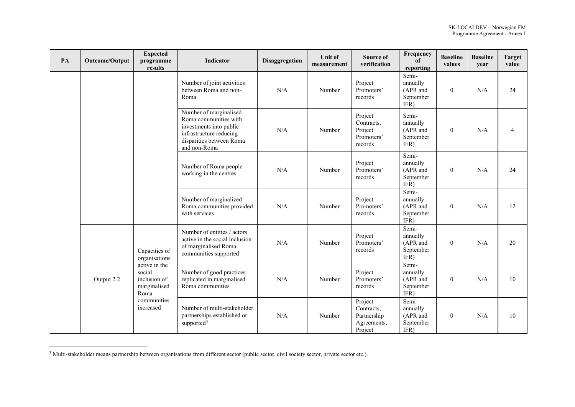| PA | Outcome/Output                                                                                            | <b>Expected</b><br>programme<br>results                                              | <b>Indicator</b>                                                                                                                                  | Disaggregation | Unit of<br>measurement                                         | Source of<br>verification                                 | Frequency<br>of<br>reporting                       | <b>Baseline</b><br>values | <b>Baseline</b><br>year | Target<br>value |
|----|-----------------------------------------------------------------------------------------------------------|--------------------------------------------------------------------------------------|---------------------------------------------------------------------------------------------------------------------------------------------------|----------------|----------------------------------------------------------------|-----------------------------------------------------------|----------------------------------------------------|---------------------------|-------------------------|-----------------|
|    |                                                                                                           |                                                                                      | Number of joint activities<br>between Roma and non-<br>Roma                                                                                       | N/A            | Number                                                         | Project<br>Promoters'<br>records                          | Semi-<br>annually<br>(APR and<br>September<br>IFR) | $\theta$                  | N/A                     | 24              |
|    |                                                                                                           |                                                                                      | Number of marginalised<br>Roma communities with<br>investments into public<br>infrastructure reducing<br>disparities between Roma<br>and non-Roma | N/A            | Number                                                         | Project<br>Contracts,<br>Project<br>Promoters'<br>records | Semi-<br>annually<br>(APR and<br>September<br>IFR) | $\theta$                  | N/A                     | 4               |
|    |                                                                                                           | Number of Roma people<br>working in the centres                                      | N/A                                                                                                                                               | Number         | Project<br>Promoters'<br>records                               | Semi-<br>annually<br>(APR and<br>September<br>IFR)        | $\overline{0}$                                     | N/A                       | 24                      |                 |
|    |                                                                                                           | Number of marginalized<br>Roma communities provided<br>with services                 | N/A                                                                                                                                               | Number         | Project<br>Promoters'<br>records                               | Semi-<br>annually<br>(APR and<br>September<br>IFR)        | $\theta$                                           | N/A                       | 12                      |                 |
|    |                                                                                                           | Capacities of<br>organisations                                                       | Number of entities / actors<br>active in the social inclusion<br>of marginalised Roma<br>communities supported                                    | N/A            | Number                                                         | Project<br>Promoters'<br>records                          | Semi-<br>annually<br>(APR and<br>September<br>IFR) | $\theta$                  | N/A                     | 20              |
|    | active in the<br>social<br>inclusion of<br>Output 2.2<br>marginalised<br>Roma<br>communities<br>increased | Number of good practices<br>replicated in marginalised<br>Roma communities           | N/A                                                                                                                                               | Number         | Project<br>Promoters'<br>records                               | Semi-<br>annually<br>(APR and<br>September<br>IFR)        | $\theta$                                           | N/A                       | 10                      |                 |
|    |                                                                                                           | Number of multi-stakeholder<br>partnerships established or<br>supported <sup>3</sup> | N/A                                                                                                                                               | Number         | Project<br>Contracts,<br>Partnership<br>Agreements,<br>Project | Semi-<br>annually<br>(APR and<br>September<br>IFR)        | $\theta$                                           | N/A                       | 10                      |                 |

 $3$  Multi-stakeholder means partnership between organisations from different sector (public sector, civil society sector, private sector etc.).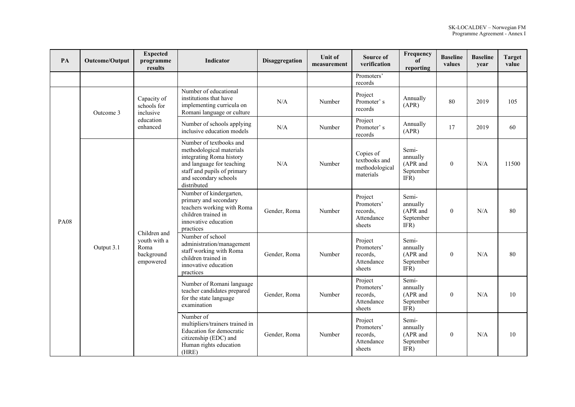| PA          | Outcome/Output | <b>Expected</b><br>programme<br>results                         | Indicator                                                                                                                                                                           | Disaggregation | Unit of<br>measurement | Source of<br>verification                                 | Frequency<br>of<br>reporting                       | <b>Baseline</b><br>values | <b>Baseline</b><br>year | Target<br>value |
|-------------|----------------|-----------------------------------------------------------------|-------------------------------------------------------------------------------------------------------------------------------------------------------------------------------------|----------------|------------------------|-----------------------------------------------------------|----------------------------------------------------|---------------------------|-------------------------|-----------------|
|             |                |                                                                 |                                                                                                                                                                                     |                |                        | Promoters'<br>records                                     |                                                    |                           |                         |                 |
| <b>PA08</b> | Outcome 3      | Capacity of<br>schools for<br>inclusive                         | Number of educational<br>institutions that have<br>implementing curricula on<br>Romani language or culture                                                                          | N/A            | Number                 | Project<br>Promoter's<br>records                          | Annually<br>(APR)                                  | 80                        | 2019                    | 105             |
|             |                | education<br>enhanced                                           | Number of schools applying<br>inclusive education models                                                                                                                            | N/A            | Number                 | Project<br>Promoter's<br>records                          | Annually<br>(APR)                                  | 17                        | 2019                    | 60              |
|             | Output 3.1     | Children and<br>youth with a<br>Roma<br>background<br>empowered | Number of textbooks and<br>methodological materials<br>integrating Roma history<br>and language for teaching<br>staff and pupils of primary<br>and secondary schools<br>distributed | N/A            | Number                 | Copies of<br>textbooks and<br>methodological<br>materials | Semi-<br>annually<br>(APR and<br>September<br>IFR) | $\overline{0}$            | N/A                     | 11500           |
|             |                |                                                                 | Number of kindergarten,<br>primary and secondary<br>teachers working with Roma<br>children trained in<br>innovative education<br>practices                                          | Gender, Roma   | Number                 | Project<br>Promoters'<br>records,<br>Attendance<br>sheets | Semi-<br>annually<br>(APR and<br>September<br>IFR) | $\overline{0}$            | N/A                     | 80              |
|             |                |                                                                 | Number of school<br>administration/management<br>staff working with Roma<br>children trained in<br>innovative education<br>practices                                                | Gender, Roma   | Number                 | Project<br>Promoters'<br>records,<br>Attendance<br>sheets | Semi-<br>annually<br>(APR and<br>September<br>IFR) | $\overline{0}$            | N/A                     | 80              |
|             |                |                                                                 | Number of Romani language<br>teacher candidates prepared<br>for the state language<br>examination                                                                                   | Gender, Roma   | Number                 | Project<br>Promoters'<br>records.<br>Attendance<br>sheets | Semi-<br>annually<br>(APR and<br>September<br>IFR) | $\theta$                  | N/A                     | 10              |
|             |                |                                                                 | Number of<br>multipliers/trainers trained in<br>Education for democratic<br>citizenship (EDC) and<br>Human rights education<br>(HRE)                                                | Gender, Roma   | Number                 | Project<br>Promoters'<br>records,<br>Attendance<br>sheets | Semi-<br>annually<br>(APR and<br>September<br>IFR) | $\overline{0}$            | N/A                     | 10              |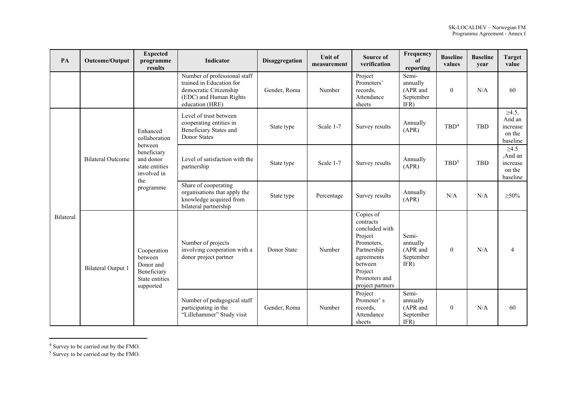| PA        | Outcome/Output            | <b>Expected</b><br>programme<br>results                                                                               | <b>Indicator</b>                                                                                                                | Disaggregation | Unit of<br>measurement | Source of<br>verification                                                                                                                                 | Frequency<br>of<br>reporting                       | <b>Baseline</b><br>values | <b>Baseline</b><br>year | <b>Target</b><br>value                                   |
|-----------|---------------------------|-----------------------------------------------------------------------------------------------------------------------|---------------------------------------------------------------------------------------------------------------------------------|----------------|------------------------|-----------------------------------------------------------------------------------------------------------------------------------------------------------|----------------------------------------------------|---------------------------|-------------------------|----------------------------------------------------------|
|           |                           |                                                                                                                       | Number of professional staff<br>trained in Education for<br>democratic Citizenship<br>(EDC) and Human Rights<br>education (HRE) | Gender, Roma   | Number                 | Project<br>Promoters'<br>records.<br>Attendance<br>sheets                                                                                                 | Semi-<br>annually<br>(APR and<br>September<br>IFR) | $\Omega$                  | N/A                     | 60                                                       |
| Bilateral | <b>Bilateral Outcome</b>  | Enhanced<br>collaboration<br>between<br>beneficiary<br>and donor<br>state entities<br>involved in<br>the<br>programme | Level of trust between<br>cooperating entities in<br>Beneficiary States and<br><b>Donor States</b>                              | State type     | Scale 1-7              | Survey results                                                                                                                                            | Annually<br>(APR)                                  | TBD <sup>4</sup>          | <b>TBD</b>              | $\geq 4.5$ ,<br>And an<br>increase<br>on the<br>baseline |
|           |                           |                                                                                                                       | Level of satisfaction with the<br>partnership                                                                                   | State type     | Scale 1-7              | Survey results                                                                                                                                            | Annually<br>(APR)                                  | TBD <sup>5</sup>          | TBD                     | $\geq 4.5$<br>,And an<br>increase<br>on the<br>baseline  |
|           |                           |                                                                                                                       | Share of cooperating<br>organisations that apply the<br>knowledge acquired from<br>bilateral partnership                        | State type     | Percentage             | Survey results                                                                                                                                            | Annually<br>(APR)                                  | N/A                       | N/A                     | $\geq 50\%$                                              |
|           | <b>Bilateral Output 1</b> | Cooperation<br>between<br>Donor and<br>Beneficiary<br>State entities<br>supported                                     | Number of projects<br>involving cooperation with a<br>donor project partner                                                     | Donor State    | Number                 | Copies of<br>contracts<br>concluded with<br>Project<br>Promoters,<br>Partnership<br>agreements<br>between<br>Project<br>Promoters and<br>project partners | Semi-<br>annually<br>(APR and<br>September<br>IFR) | $\Omega$                  | N/A                     | $\overline{4}$                                           |
|           |                           |                                                                                                                       | Number of pedagogical staff<br>participating in the<br>"Lillehammer" Study visit                                                | Gender, Roma   | Number                 | Project<br>Promoter's<br>records,<br>Attendance<br>sheets                                                                                                 | Semi-<br>annually<br>(APR and<br>September<br>IFR) | $\theta$                  | N/A                     | 60                                                       |

<sup>4</sup> Survey to be carried out by the FMO.

<sup>&</sup>lt;sup>5</sup> Survey to be carried out by the FMO.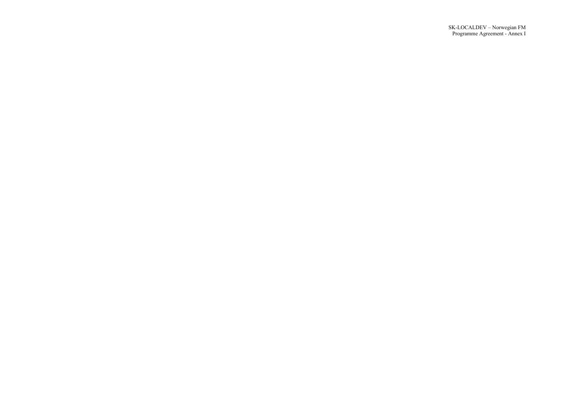SK-LOCALDEV – Norwegian FM Programme Agreement - Annex I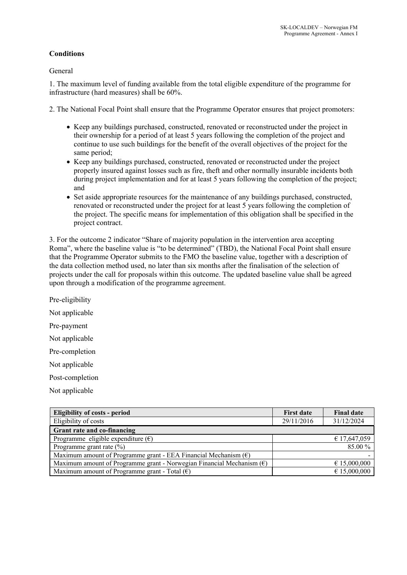## **Conditions**

## General

1. The maximum level of funding available from the total eligible expenditure of the programme for infrastructure (hard measures) shall be 60%.

2. The National Focal Point shall ensure that the Programme Operator ensures that project promoters:

- Keep any buildings purchased, constructed, renovated or reconstructed under the project in their ownership for a period of at least 5 years following the completion of the project and continue to use such buildings for the benefit of the overall objectives of the project for the same period;
- Keep any buildings purchased, constructed, renovated or reconstructed under the project properly insured against losses such as fire, theft and other normally insurable incidents both during project implementation and for at least 5 years following the completion of the project; and
- Set aside appropriate resources for the maintenance of any buildings purchased, constructed, renovated or reconstructed under the project for at least 5 years following the completion of the project. The specific means for implementation of this obligation shall be specified in the project contract.

3. For the outcome 2 indicator "Share of majority population in the intervention area accepting Roma", where the baseline value is "to be determined" (TBD), the National Focal Point shall ensure that the Programme Operator submits to the FMO the baseline value, together with a description of the data collection method used, no later than six months after the finalisation of the selection of projects under the call for proposals within this outcome. The updated baseline value shall be agreed upon through a modification of the programme agreement.

Pre-eligibility Not applicable Pre-payment Not applicable Pre-completion Not applicable Post-completion Not applicable

| <b>Eligibility of costs - period</b>                                           | <b>First date</b> | <b>Final date</b>     |
|--------------------------------------------------------------------------------|-------------------|-----------------------|
| Eligibility of costs                                                           | 29/11/2016        | 31/12/2024            |
| Grant rate and co-financing                                                    |                   |                       |
| Programme eligible expenditure $(\epsilon)$                                    |                   | € 17,647,059          |
| Programme grant rate $(\%)$                                                    |                   | 85.00 %               |
| Maximum amount of Programme grant - EEA Financial Mechanism $(\epsilon)$       |                   |                       |
| Maximum amount of Programme grant - Norwegian Financial Mechanism $(\epsilon)$ |                   | $\epsilon$ 15,000,000 |
| Maximum amount of Programme grant - Total $(\epsilon)$                         |                   | $\epsilon$ 15,000,000 |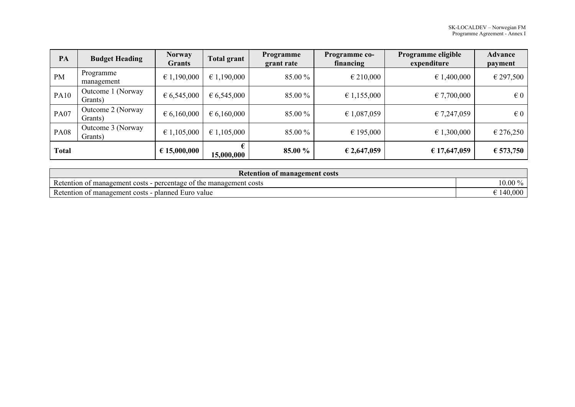| PA           | <b>Budget Heading</b>        | <b>Norway</b><br><b>Grants</b> | Total grant          | <b>Programme</b><br>grant rate | <b>Programme co-</b><br>financing | Programme eligible<br>expenditure | <b>Advance</b><br>payment |
|--------------|------------------------------|--------------------------------|----------------------|--------------------------------|-----------------------------------|-----------------------------------|---------------------------|
| <b>PM</b>    | Programme<br>management      | $\epsilon$ 1,190,000           | $\epsilon$ 1,190,000 | 85.00 %                        | € 210,000                         | $\epsilon$ 1,400,000              | € 297,500                 |
| <b>PA10</b>  | Outcome 1 (Norway<br>Grants) | $\epsilon$ 6,545,000           | $\epsilon$ 6,545,000 | 85.00 %                        | € 1,155,000                       | € 7,700,000                       | $\epsilon$ <sub>0</sub>   |
| <b>PA07</b>  | Outcome 2 (Norway<br>Grants) | $\epsilon$ 6,160,000           | $\epsilon$ 6,160,000 | 85.00 %                        | € 1,087,059                       | € 7,247,059                       | $\epsilon$ <sub>0</sub>   |
| <b>PA08</b>  | Outcome 3 (Norway<br>Grants) | $\epsilon$ 1,105,000           | $\epsilon$ 1,105,000 | 85.00 %                        | € 195,000                         | $\epsilon$ 1,300,000              | € 276,250                 |
| <b>Total</b> |                              | € 15,000,000                   | €<br>15,000,000      | 85.00 %                        | € 2,647,059                       | € 17,647,059                      | € 573,750                 |

| <b>Retention of management costs</b>                                                   |  |  |  |  |  |
|----------------------------------------------------------------------------------------|--|--|--|--|--|
| Retention<br>s - percentage of<br>the management costs<br>management<br>costs<br>. O F |  |  |  |  |  |
| Retention<br>Euro value<br>planned<br>costs<br>r management<br>,,,,                    |  |  |  |  |  |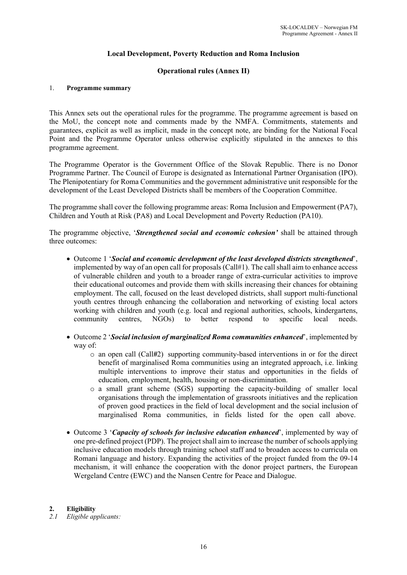## **Local Development, Poverty Reduction and Roma Inclusion**

## **Operational rules (Annex II)**

#### 1. **Programme summary**

This Annex sets out the operational rules for the programme. The programme agreement is based on the MoU, the concept note and comments made by the NMFA. Commitments, statements and guarantees, explicit as well as implicit, made in the concept note, are binding for the National Focal Point and the Programme Operator unless otherwise explicitly stipulated in the annexes to this programme agreement.

The Programme Operator is the Government Office of the Slovak Republic. There is no Donor Programme Partner. The Council of Europe is designated as International Partner Organisation (IPO). The Plenipotentiary for Roma Communities and the government administrative unit responsible for the development of the Least Developed Districts shall be members of the Cooperation Committee.

The programme shall cover the following programme areas: Roma Inclusion and Empowerment (PA7), Children and Youth at Risk (PA8) and Local Development and Poverty Reduction (PA10).

The programme objective, '*Strengthened social and economic cohesion'* shall be attained through three outcomes:

- Outcome 1 '*Social and economic development of the least developed districts strengthened*', implemented by way of an open call for proposals (Call#1). The call shall aim to enhance access of vulnerable children and youth to a broader range of extra-curricular activities to improve their educational outcomes and provide them with skills increasing their chances for obtaining employment. The call, focused on the least developed districts, shall support multi-functional youth centres through enhancing the collaboration and networking of existing local actors working with children and youth (e.g. local and regional authorities, schools, kindergartens, community centres, NGOs) to better respond to specific local needs.
- Outcome 2 '*Social inclusion of marginalized Roma communities enhanced*', implemented by way of:
	- o an open call (Call*#*2) supporting community-based interventions in or for the direct benefit of marginalised Roma communities using an integrated approach, i.e. linking multiple interventions to improve their status and opportunities in the fields of education, employment, health, housing or non-discrimination.
	- $\circ$  a small grant scheme (SGS) supporting the capacity-building of smaller local organisations through the implementation of grassroots initiatives and the replication of proven good practices in the field of local development and the social inclusion of marginalised Roma communities, in fields listed for the open call above.
- Outcome 3 '*Capacity of schools for inclusive education enhanced*', implemented by way of one pre-defined project (PDP). The project shall aim to increase the number of schools applying inclusive education models through training school staff and to broaden access to curricula on Romani language and history. Expanding the activities of the project funded from the 09-14 mechanism, it will enhance the cooperation with the donor project partners, the European Wergeland Centre (EWC) and the Nansen Centre for Peace and Dialogue.

## **2. Eligibility**

*<sup>2.1</sup> Eligible applicants:*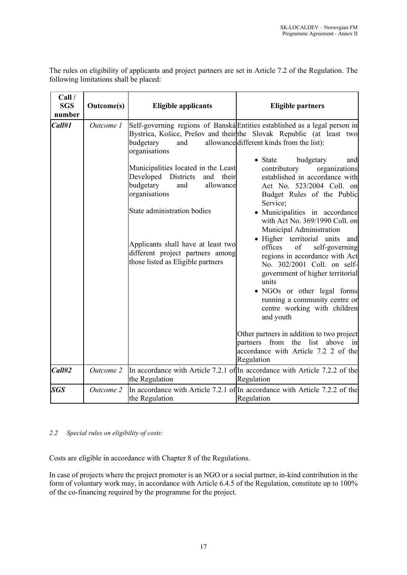The rules on eligibility of applicants and project partners are set in Article 7.2 of the Regulation. The following limitations shall be placed:

| Call/<br><b>SGS</b><br>number | <b>Outcome(s)</b> | <b>Eligible applicants</b>                                                                                                                                                                                                                                                                                   | <b>Eligible partners</b>                                                                                                                                                                                                                                                                                                                                                                                                                                                                                                                                                                                                                                                                                                                                                                                                                                                                                           |
|-------------------------------|-------------------|--------------------------------------------------------------------------------------------------------------------------------------------------------------------------------------------------------------------------------------------------------------------------------------------------------------|--------------------------------------------------------------------------------------------------------------------------------------------------------------------------------------------------------------------------------------------------------------------------------------------------------------------------------------------------------------------------------------------------------------------------------------------------------------------------------------------------------------------------------------------------------------------------------------------------------------------------------------------------------------------------------------------------------------------------------------------------------------------------------------------------------------------------------------------------------------------------------------------------------------------|
| Call#1                        | Outcome 1         | budgetary<br>and<br>organisations<br>Municipalities located in the Least<br>Developed Districts<br>and their<br>budgetary<br>and<br>allowance<br>organisations<br>State administration bodies<br>Applicants shall have at least two<br>different project partners among<br>those listed as Eligible partners | Self-governing regions of Banská Entities established as a legal person in<br>Bystrica, Košice, Prešov and their the Slovak Republic (at least two<br>allowance different kinds from the list):<br>• State<br>budgetary<br>and<br>contributory<br>organizations<br>established in accordance with<br>Act No. 523/2004 Coll. on<br>Budget Rules of the Public<br>Service;<br>• Municipalities in accordance<br>with Act No. 369/1990 Coll. on<br>Municipal Administration<br>· Higher territorial units<br>and<br>offices<br>of<br>self-governing<br>regions in accordance with Act<br>No. 302/2001 Coll. on self-<br>government of higher territorial<br>units<br>• NGOs or other legal forms<br>running a community centre or<br>centre working with children<br>and youth<br>Other partners in addition to two project<br>partners<br>from<br>the<br>list<br>above<br>1n<br>accordance with Article 7.2 2 of the |
| Call#2                        | Outcome 2         | the Regulation                                                                                                                                                                                                                                                                                               | Regulation<br>In accordance with Article 7.2.1 of In accordance with Article 7.2.2 of the<br>Regulation                                                                                                                                                                                                                                                                                                                                                                                                                                                                                                                                                                                                                                                                                                                                                                                                            |
| SGS                           | Outcome 2         | the Regulation                                                                                                                                                                                                                                                                                               | In accordance with Article 7.2.1 of In accordance with Article 7.2.2 of the<br>Regulation                                                                                                                                                                                                                                                                                                                                                                                                                                                                                                                                                                                                                                                                                                                                                                                                                          |

## *2.2 Special rules on eligibility of costs:*

Costs are eligible in accordance with Chapter 8 of the Regulations.

In case of projects where the project promoter is an NGO or a social partner, in-kind contribution in the form of voluntary work may, in accordance with Article 6.4.5 of the Regulation, constitute up to 100% of the co-financing required by the programme for the project.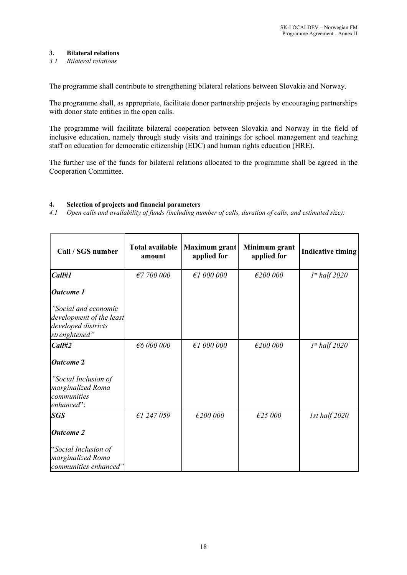## **3. Bilateral relations**

*3.1 Bilateral relations*

The programme shall contribute to strengthening bilateral relations between Slovakia and Norway.

The programme shall, as appropriate, facilitate donor partnership projects by encouraging partnerships with donor state entities in the open calls.

The programme will facilitate bilateral cooperation between Slovakia and Norway in the field of inclusive education, namely through study visits and trainings for school management and teaching staff on education for democratic citizenship (EDC) and human rights education (HRE).

The further use of the funds for bilateral relations allocated to the programme shall be agreed in the Cooperation Committee.

## **4. Selection of projects and financial parameters**

*4.1 Open calls and availability of funds (including number of calls, duration of calls, and estimated size):*

| Call / SGS number                                                                        | <b>Total available</b><br>amount | <b>Maximum</b> grant<br>applied for | Minimum grant<br>applied for | <b>Indicative timing</b> |
|------------------------------------------------------------------------------------------|----------------------------------|-------------------------------------|------------------------------|--------------------------|
| Call#1                                                                                   | E7700000                         | E1000000                            | $\epsilon$ 200 000           | $I^{st}$ half 2020       |
| <b>Outcome</b> 1                                                                         |                                  |                                     |                              |                          |
| "Social and economic<br>development of the least<br>developed districts<br>strenghtened" |                                  |                                     |                              |                          |
| Call#2                                                                                   | €6 000 000                       | $\mathcal{E}$ l 000 000             | $\epsilon$ 200 000           | $I^{st}$ half 2020       |
| <b>Outcome 2</b>                                                                         |                                  |                                     |                              |                          |
| "Social Inclusion of<br>marginalized Roma<br>communities<br>enhanced":                   |                                  |                                     |                              |                          |
| SGS                                                                                      | E1247059                         | €200 000                            | €25 000                      | $1st$ half $2020$        |
| Outcome 2                                                                                |                                  |                                     |                              |                          |
| "Social Inclusion of<br>marginalized Roma<br>communities enhanced"                       |                                  |                                     |                              |                          |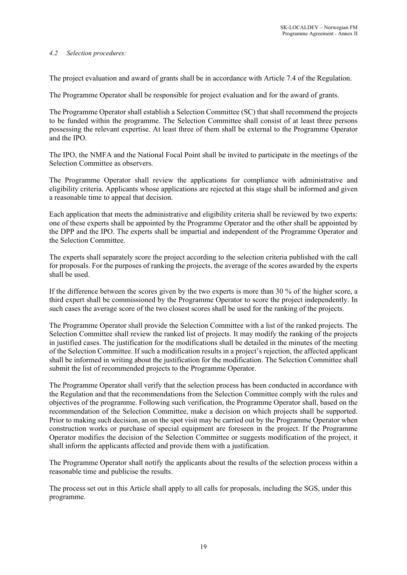## *4.2 Selection procedures:*

The project evaluation and award of grants shall be in accordance with Article 7.4 of the Regulation.

The Programme Operator shall be responsible for project evaluation and for the award of grants.

The Programme Operator shall establish a Selection Committee (SC) that shall recommend the projects to be funded within the programme. The Selection Committee shall consist of at least three persons possessing the relevant expertise. At least three of them shall be external to the Programme Operator and the IPO.

The IPO, the NMFA and the National Focal Point shall be invited to participate in the meetings of the Selection Committee as observers.

The Programme Operator shall review the applications for compliance with administrative and eligibility criteria. Applicants whose applications are rejected at this stage shall be informed and given a reasonable time to appeal that decision.

Each application that meets the administrative and eligibility criteria shall be reviewed by two experts: one of these experts shall be appointed by the Programme Operator and the other shall be appointed by the DPP and the IPO. The experts shall be impartial and independent of the Programme Operator and the Selection Committee.

The experts shall separately score the project according to the selection criteria published with the call for proposals. For the purposes of ranking the projects, the average of the scores awarded by the experts shall be used.

If the difference between the scores given by the two experts is more than 30 % of the higher score, a third expert shall be commissioned by the Programme Operator to score the project independently. In such cases the average score of the two closest scores shall be used for the ranking of the projects.

The Programme Operator shall provide the Selection Committee with a list of the ranked projects. The Selection Committee shall review the ranked list of projects. It may modify the ranking of the projects in justified cases. The justification for the modifications shall be detailed in the minutes of the meeting of the Selection Committee. If such a modification results in a project's rejection, the affected applicant shall be informed in writing about the justification for the modification. The Selection Committee shall submit the list of recommended projects to the Programme Operator.

The Programme Operator shall verify that the selection process has been conducted in accordance with the Regulation and that the recommendations from the Selection Committee comply with the rules and objectives of the programme. Following such verification, the Programme Operator shall, based on the recommendation of the Selection Committee, make a decision on which projects shall be supported. Prior to making such decision, an on the spot visit may be carried out by the Programme Operator when construction works or purchase of special equipment are foreseen in the project. If the Programme Operator modifies the decision of the Selection Committee or suggests modification of the project, it shall inform the applicants affected and provide them with a justification.

The Programme Operator shall notify the applicants about the results of the selection process within a reasonable time and publicise the results.

The process set out in this Article shall apply to all calls for proposals, including the SGS, under this programme.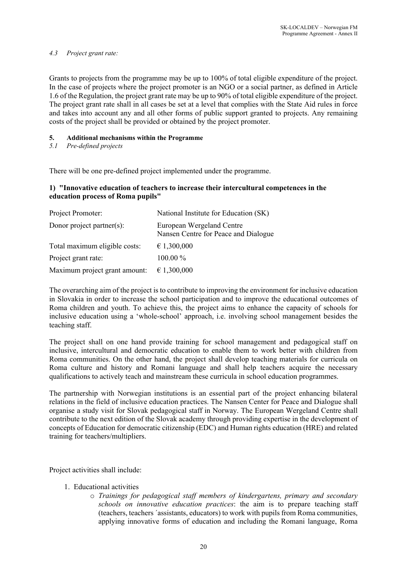## *4.3 Project grant rate:*

Grants to projects from the programme may be up to 100% of total eligible expenditure of the project. In the case of projects where the project promoter is an NGO or a social partner, as defined in Article 1.6 of the Regulation, the project grant rate may be up to 90% of total eligible expenditure of the project. The project grant rate shall in all cases be set at a level that complies with the State Aid rules in force and takes into account any and all other forms of public support granted to projects. Any remaining costs of the project shall be provided or obtained by the project promoter.

## **5. Additional mechanisms within the Programme**

*5.1 Pre-defined projects*

There will be one pre-defined project implemented under the programme.

## **1) "Innovative education of teachers to increase their intercultural competences in the education process of Roma pupils"**

| Project Promoter:             | National Institute for Education (SK)                             |
|-------------------------------|-------------------------------------------------------------------|
| Donor project partner(s):     | European Wergeland Centre<br>Nansen Centre for Peace and Dialogue |
| Total maximum eligible costs: | $\epsilon$ 1,300,000                                              |
| Project grant rate:           | 100.00 %                                                          |
| Maximum project grant amount: | $\epsilon$ 1,300,000                                              |

The overarching aim of the project is to contribute to improving the environment for inclusive education in Slovakia in order to increase the school participation and to improve the educational outcomes of Roma children and youth. To achieve this, the project aims to enhance the capacity of schools for inclusive education using a 'whole-school' approach, i.e. involving school management besides the teaching staff.

The project shall on one hand provide training for school management and pedagogical staff on inclusive, intercultural and democratic education to enable them to work better with children from Roma communities. On the other hand, the project shall develop teaching materials for curricula on Roma culture and history and Romani language and shall help teachers acquire the necessary qualifications to actively teach and mainstream these curricula in school education programmes.

The partnership with Norwegian institutions is an essential part of the project enhancing bilateral relations in the field of inclusive education practices. The Nansen Center for Peace and Dialogue shall organise a study visit for Slovak pedagogical staff in Norway. The European Wergeland Centre shall contribute to the next edition of the Slovak academy through providing expertise in the development of concepts of Education for democratic citizenship (EDC) and Human rights education (HRE) and related training for teachers/multipliers.

Project activities shall include:

- 1. Educational activities
	- o *Trainings for pedagogical staff members of kindergartens, primary and secondary schools on innovative education practices*: the aim is to prepare teaching staff (teachers, teachers ´assistants, educators) to work with pupils from Roma communities, applying innovative forms of education and including the Romani language, Roma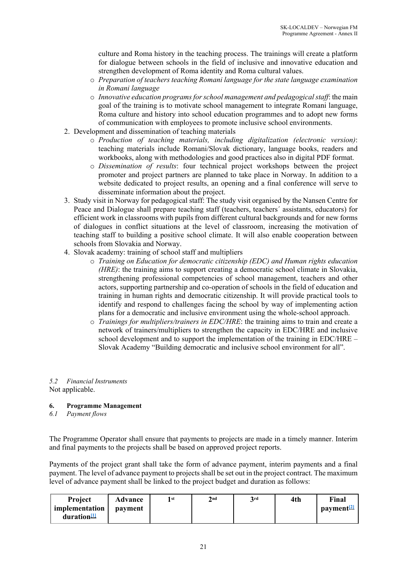culture and Roma history in the teaching process. The trainings will create a platform for dialogue between schools in the field of inclusive and innovative education and strengthen development of Roma identity and Roma cultural values.

- o *Preparation of teachers teaching Romani language for the state language examination in Romani language*
- o *Innovative education programs for school management and pedagogical staff*: the main goal of the training is to motivate school management to integrate Romani language, Roma culture and history into school education programmes and to adopt new forms of communication with employees to promote inclusive school environments.
- 2. Development and dissemination of teaching materials
	- o *Production of teaching materials, including digitalization (electronic version)*: teaching materials include Romani/Slovak dictionary, language books, readers and workbooks, along with methodologies and good practices also in digital PDF format.
	- o *Dissemination of results*: four technical project workshops between the project promoter and project partners are planned to take place in Norway. In addition to a website dedicated to project results, an opening and a final conference will serve to disseminate information about the project.
- 3. Study visit in Norway for pedagogical staff: The study visit organised by the Nansen Centre for Peace and Dialogue shall prepare teaching staff (teachers, teachers´ assistants, educators) for efficient work in classrooms with pupils from different cultural backgrounds and for new forms of dialogues in conflict situations at the level of classroom, increasing the motivation of teaching staff to building a positive school climate. It will also enable cooperation between schools from Slovakia and Norway.
- 4. Slovak academy: training of school staff and multipliers
	- o *Training on Education for democratic citizenship (EDC) and Human rights education (HRE)*: the training aims to support creating a democratic school climate in Slovakia, strengthening professional competencies of school management, teachers and other actors, supporting partnership and co-operation of schools in the field of education and training in human rights and democratic citizenship. It will provide practical tools to identify and respond to challenges facing the school by way of implementing action plans for a democratic and inclusive environment using the whole-school approach.
	- o *Trainings for multipliers/trainers in EDC/HRE*: the training aims to train and create a network of trainers/multipliers to strengthen the capacity in EDC/HRE and inclusive school development and to support the implementation of the training in EDC/HRE – Slovak Academy "Building democratic and inclusive school environment for all".

# *5.2 Financial Instruments*

Not applicable.

## **6. Programme Management**

*6.1 Payment flows*

The Programme Operator shall ensure that payments to projects are made in a timely manner. Interim and final payments to the projects shall be based on approved project reports.

Payments of the project grant shall take the form of advance payment, interim payments and a final payment. The level of advance payment to projects shall be set out in the project contract. The maximum level of advance payment shall be linked to the project budget and duration as follows:

| <b>Project</b>          | Advance | 1 st | 2nd | 2rd | 4th | Final                                 |
|-------------------------|---------|------|-----|-----|-----|---------------------------------------|
| implementation          | payment |      |     |     |     | $\frac{12}{2}$ payment <sup>[2]</sup> |
| duration <sup>[1]</sup> |         |      |     |     |     |                                       |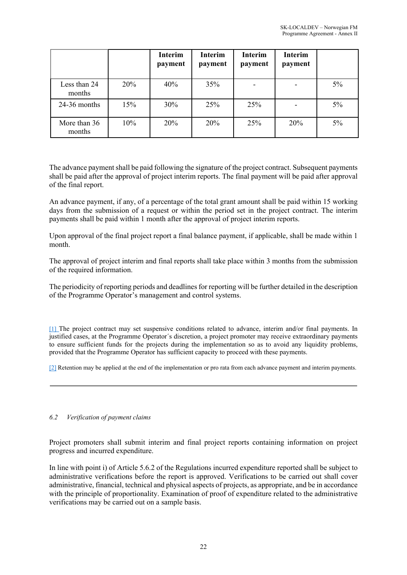|                        |     | Interim<br>payment | <b>Interim</b><br>payment | <b>Interim</b><br>payment | Interim<br>payment |       |
|------------------------|-----|--------------------|---------------------------|---------------------------|--------------------|-------|
| Less than 24<br>months | 20% | 40%                | 35%                       |                           |                    | $5\%$ |
| 24-36 months           | 15% | 30%                | 25%                       | 25%                       |                    | $5\%$ |
| More than 36<br>months | 10% | 20%                | 20%                       | 25%                       | 20%                | $5\%$ |

The advance payment shall be paid following the signature of the project contract. Subsequent payments shall be paid after the approval of project interim reports. The final payment will be paid after approval of the final report.

An advance payment, if any, of a percentage of the total grant amount shall be paid within 15 working days from the submission of a request or within the period set in the project contract. The interim payments shall be paid within 1 month after the approval of project interim reports.

Upon approval of the final project report a final balance payment, if applicable, shall be made within 1 month.

The approval of project interim and final reports shall take place within 3 months from the submission of the required information.

The periodicity of reporting periods and deadlines for reporting will be further detailed in the description of the Programme Operator's management and control systems.

[1] The project contract may set suspensive conditions related to advance, interim and/or final payments. In justified cases, at the Programme Operator´s discretion, a project promoter may receive extraordinary payments to ensure sufficient funds for the projects during the implementation so as to avoid any liquidity problems, provided that the Programme Operator has sufficient capacity to proceed with these payments.

[2] Retention may be applied at the end of the implementation or pro rata from each advance payment and interim payments.

## *6.2 Verification of payment claims*

Project promoters shall submit interim and final project reports containing information on project progress and incurred expenditure.

In line with point i) of Article 5.6.2 of the Regulations incurred expenditure reported shall be subject to administrative verifications before the report is approved. Verifications to be carried out shall cover administrative, financial, technical and physical aspects of projects, as appropriate, and be in accordance with the principle of proportionality. Examination of proof of expenditure related to the administrative verifications may be carried out on a sample basis.